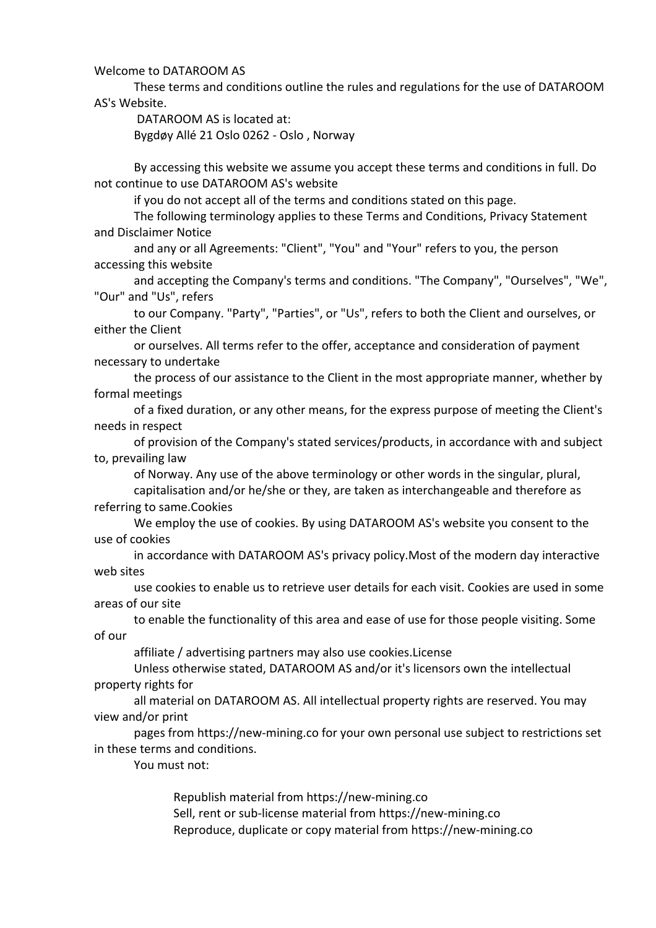Welcome to DATAROOM AS

These terms and conditions outline the rules and regulations for the use of DATAROOM AS's Website.

DATAROOM AS is located at:

Bygdøy Allé 21 Oslo 0262 - Oslo , Norway

By accessing this website we assume you accept these terms and conditions in full. Do not continue to use DATAROOM AS's website

if you do not accept all of the terms and conditions stated on this page.

The following terminology applies to these Terms and Conditions, Privacy Statement and Disclaimer Notice

and any or all Agreements: "Client", "You" and "Your" refers to you, the person accessing this website

and accepting the Company's terms and conditions. "The Company", "Ourselves", "We", "Our" and "Us", refers

to our Company. "Party", "Parties", or "Us", refers to both the Client and ourselves, or either the Client

or ourselves. All terms refer to the offer, acceptance and consideration of payment necessary to undertake

the process of our assistance to the Client in the most appropriate manner, whether by formal meetings

of a fixed duration, or any other means, for the express purpose of meeting the Client's needs in respect

of provision of the Company's stated services/products, in accordance with and subject to, prevailing law

of Norway. Any use of the above terminology or other words in the singular, plural,

capitalisation and/or he/she or they, are taken as interchangeable and therefore as referring to same.Cookies

We employ the use of cookies. By using DATAROOM AS's website you consent to the use of cookies

in accordance with DATAROOM AS's privacy policy.Most of the modern day interactive web sites

use cookies to enable us to retrieve user details for each visit. Cookies are used in some areas of our site

to enable the functionality of this area and ease of use for those people visiting. Some of our

affiliate / advertising partners may also use cookies.License

Unless otherwise stated, DATAROOM AS and/or it's licensors own the intellectual property rights for

all material on DATAROOM AS. All intellectual property rights are reserved. You may view and/or print

pages from https://new-mining.co for your own personal use subject to restrictions set in these terms and conditions.

You must not:

Republish material from https://new-mining.co Sell, rent or sub-license material from https://new-mining.co Reproduce, duplicate or copy material from https://new-mining.co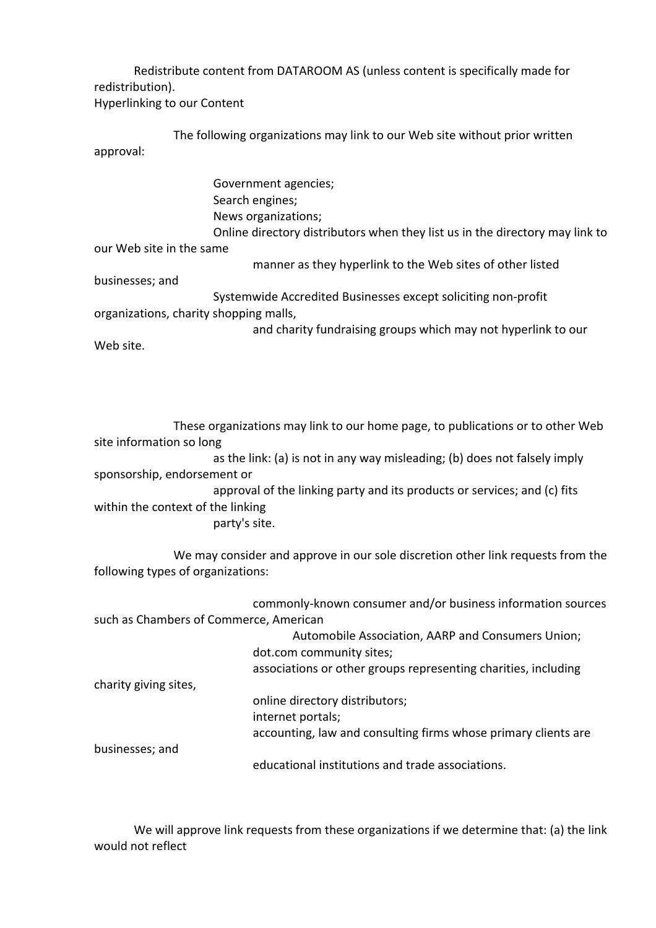Redistribute content from DATAROOM AS (unless content is specifically made for redistribution).

Hyperlinking to our Content

The following organizations may link to our Web site without prior written approval:

Government agencies; Search engines; News organizations; Online directory distributors when they list us in the directory may link to our Web site in the same manner as they hyperlink to the Web sites of other listed businesses; and Systemwide Accredited Businesses except soliciting non-profit organizations, charity shopping malls, and charity fundraising groups which may not hyperlink to our Web site.

These organizations may link to our home page, to publications or to other Web site information so long as the link: (a) is not in any way misleading; (b) does not falsely imply sponsorship, endorsement or approval of the linking party and its products or services; and (c) fits within the context of the linking party's site.

We may consider and approve in our sole discretion other link requests from the following types of organizations:

commonly-known consumer and/or business information sources such as Chambers of Commerce, American Automobile Association, AARP and Consumers Union;

|                       | Automobile Association, AARP and Consumers Union;              |
|-----------------------|----------------------------------------------------------------|
|                       | dot.com community sites;                                       |
|                       | associations or other groups representing charities, including |
| charity giving sites, |                                                                |
|                       | online directory distributors;                                 |
|                       | internet portals;                                              |
|                       | accounting, law and consulting firms whose primary clients are |
| businesses; and       |                                                                |
|                       | educational institutions and trade associations.               |

We will approve link requests from these organizations if we determine that: (a) the link would not reflect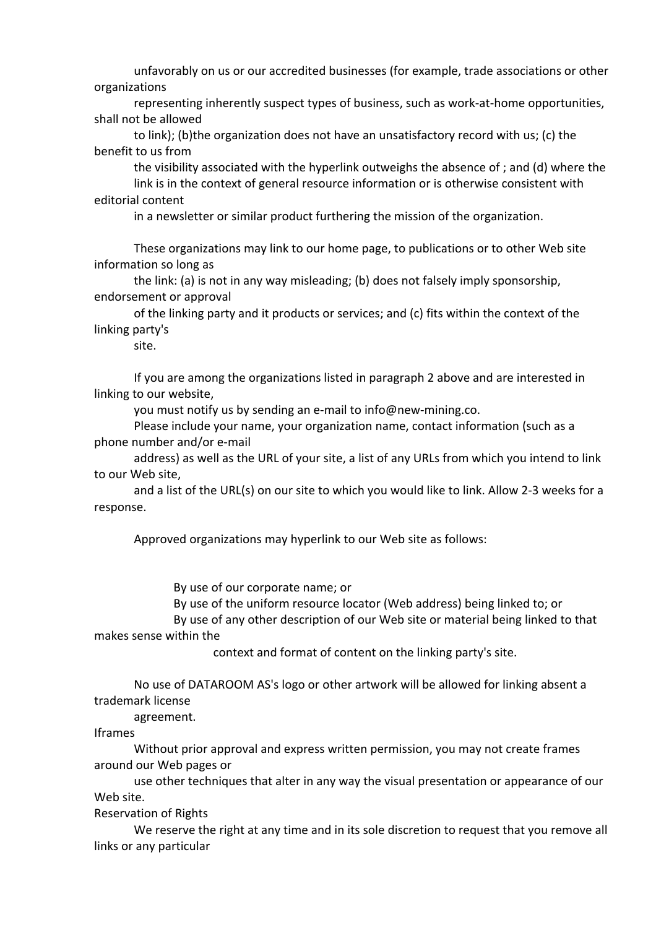unfavorably on us or our accredited businesses (for example, trade associations or other organizations

representing inherently suspect types of business, such as work-at-home opportunities, shall not be allowed

to link); (b)the organization does not have an unsatisfactory record with us; (c) the benefit to us from

the visibility associated with the hyperlink outweighs the absence of ; and (d) where the link is in the context of general resource information or is otherwise consistent with editorial content

in a newsletter or similar product furthering the mission of the organization.

These organizations may link to our home page, to publications or to other Web site information so long as

the link: (a) is not in any way misleading; (b) does not falsely imply sponsorship, endorsement or approval

of the linking party and it products or services; and (c) fits within the context of the linking party's

site.

If you are among the organizations listed in paragraph 2 above and are interested in linking to our website,

you must notify us by sending an e-mail to info@new-mining.co.

Please include your name, your organization name, contact information (such as a phone number and/or e-mail

address) as well as the URL of your site, a list of any URLs from which you intend to link to our Web site,

and a list of the URL(s) on our site to which you would like to link. Allow 2-3 weeks for a response.

Approved organizations may hyperlink to our Web site as follows:

By use of our corporate name; or

By use of the uniform resource locator (Web address) being linked to; or

By use of any other description of our Web site or material being linked to that makes sense within the

context and format of content on the linking party's site.

No use of DATAROOM AS's logo or other artwork will be allowed for linking absent a trademark license

agreement.

Iframes

Without prior approval and express written permission, you may not create frames around our Web pages or

use other techniques that alter in any way the visual presentation or appearance of our Web site.

Reservation of Rights

We reserve the right at any time and in its sole discretion to request that you remove all links or any particular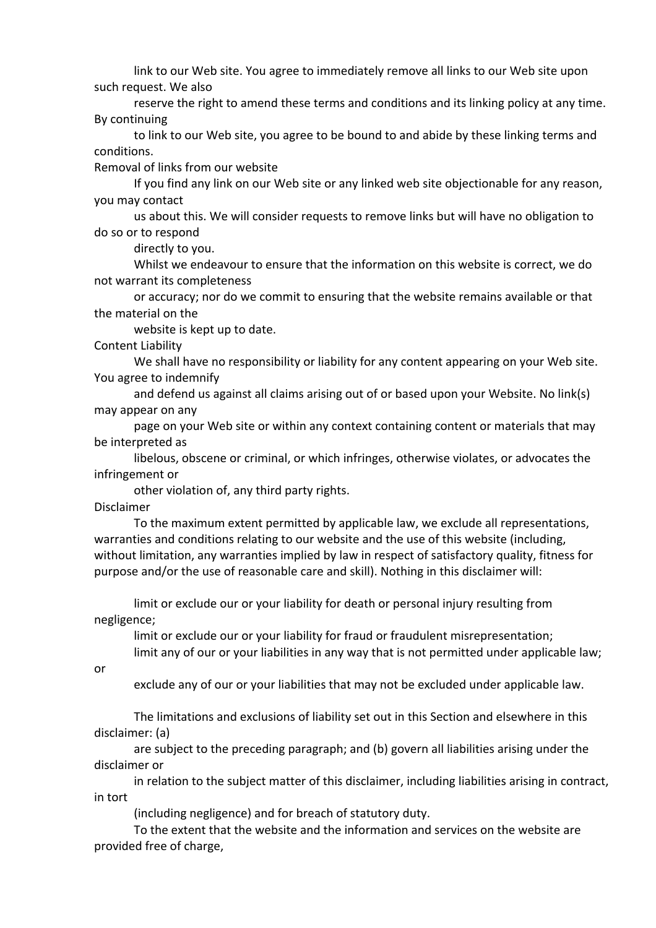link to our Web site. You agree to immediately remove all links to our Web site upon such request. We also

reserve the right to amend these terms and conditions and its linking policy at any time. By continuing

to link to our Web site, you agree to be bound to and abide by these linking terms and conditions.

Removal of links from our website

If you find any link on our Web site or any linked web site objectionable for any reason, you may contact

us about this. We will consider requests to remove links but will have no obligation to do so or to respond

directly to you.

Whilst we endeavour to ensure that the information on this website is correct, we do not warrant its completeness

or accuracy; nor do we commit to ensuring that the website remains available or that the material on the

website is kept up to date.

Content Liability

We shall have no responsibility or liability for any content appearing on your Web site. You agree to indemnify

and defend us against all claims arising out of or based upon your Website. No link(s) may appear on any

page on your Web site or within any context containing content or materials that may be interpreted as

libelous, obscene or criminal, or which infringes, otherwise violates, or advocates the infringement or

other violation of, any third party rights.

Disclaimer

To the maximum extent permitted by applicable law, we exclude all representations, warranties and conditions relating to our website and the use of this website (including, without limitation, any warranties implied by law in respect of satisfactory quality, fitness for purpose and/or the use of reasonable care and skill). Nothing in this disclaimer will:

limit or exclude our or your liability for death or personal injury resulting from negligence;

limit or exclude our or your liability for fraud or fraudulent misrepresentation; limit any of our or your liabilities in any way that is not permitted under applicable law;

or

exclude any of our or your liabilities that may not be excluded under applicable law.

The limitations and exclusions of liability set out in this Section and elsewhere in this disclaimer: (a)

are subject to the preceding paragraph; and (b) govern all liabilities arising under the disclaimer or

in relation to the subject matter of this disclaimer, including liabilities arising in contract, in tort

(including negligence) and for breach of statutory duty.

To the extent that the website and the information and services on the website are provided free of charge,